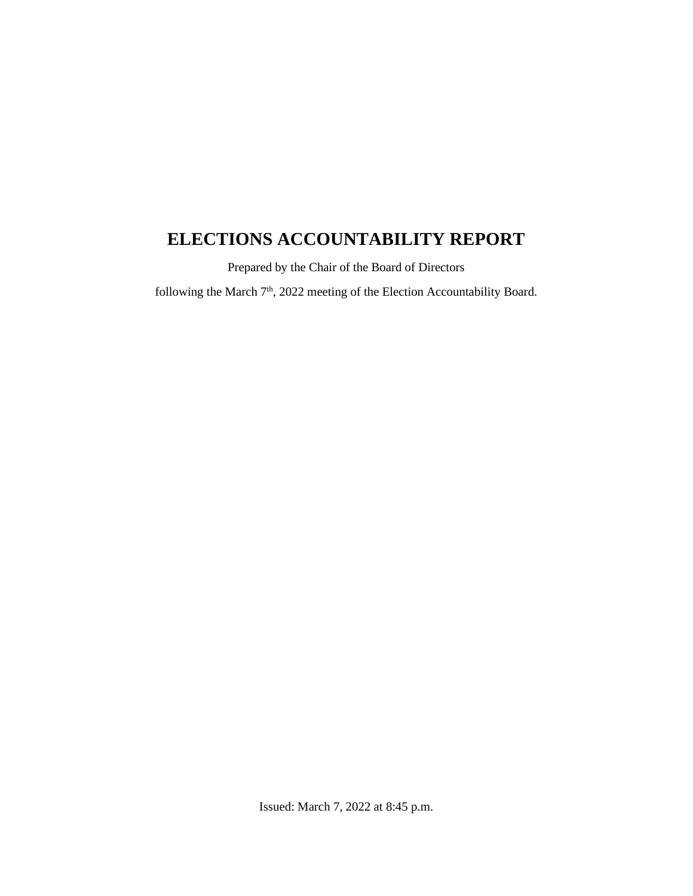# **ELECTIONS ACCOUNTABILITY REPORT**

Prepared by the Chair of the Board of Directors

following the March  $7<sup>th</sup>$ , 2022 meeting of the Election Accountability Board.

Issued: March 7, 2022 at 8:45 p.m.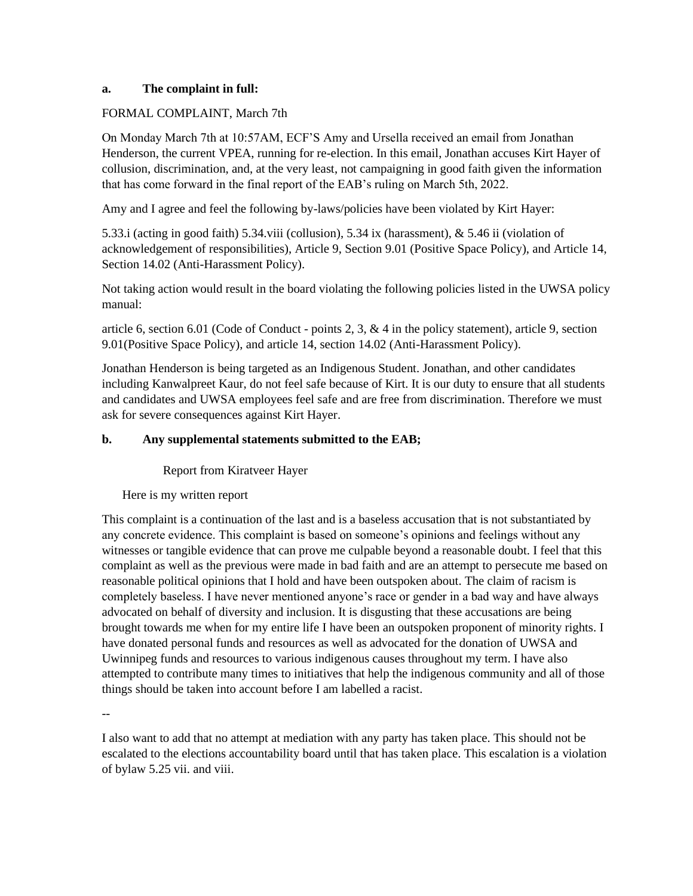#### **a. The complaint in full:**

#### FORMAL COMPLAINT, March 7th

On Monday March 7th at 10:57AM, ECF'S Amy and Ursella received an email from Jonathan Henderson, the current VPEA, running for re-election. In this email, Jonathan accuses Kirt Hayer of collusion, discrimination, and, at the very least, not campaigning in good faith given the information that has come forward in the final report of the EAB's ruling on March 5th, 2022.

Amy and I agree and feel the following by-laws/policies have been violated by Kirt Hayer:

5.33.i (acting in good faith) 5.34.viii (collusion), 5.34 ix (harassment), & 5.46 ii (violation of acknowledgement of responsibilities), Article 9, Section 9.01 (Positive Space Policy), and Article 14, Section 14.02 (Anti-Harassment Policy).

Not taking action would result in the board violating the following policies listed in the UWSA policy manual:

article 6, section 6.01 (Code of Conduct - points 2, 3,  $\&$  4 in the policy statement), article 9, section 9.01(Positive Space Policy), and article 14, section 14.02 (Anti-Harassment Policy).

Jonathan Henderson is being targeted as an Indigenous Student. Jonathan, and other candidates including Kanwalpreet Kaur, do not feel safe because of Kirt. It is our duty to ensure that all students and candidates and UWSA employees feel safe and are free from discrimination. Therefore we must ask for severe consequences against Kirt Hayer.

## **b. Any supplemental statements submitted to the EAB;**

Report from Kiratveer Hayer

Here is my written report

This complaint is a continuation of the last and is a baseless accusation that is not substantiated by any concrete evidence. This complaint is based on someone's opinions and feelings without any witnesses or tangible evidence that can prove me culpable beyond a reasonable doubt. I feel that this complaint as well as the previous were made in bad faith and are an attempt to persecute me based on reasonable political opinions that I hold and have been outspoken about. The claim of racism is completely baseless. I have never mentioned anyone's race or gender in a bad way and have always advocated on behalf of diversity and inclusion. It is disgusting that these accusations are being brought towards me when for my entire life I have been an outspoken proponent of minority rights. I have donated personal funds and resources as well as advocated for the donation of UWSA and Uwinnipeg funds and resources to various indigenous causes throughout my term. I have also attempted to contribute many times to initiatives that help the indigenous community and all of those things should be taken into account before I am labelled a racist.

--

I also want to add that no attempt at mediation with any party has taken place. This should not be escalated to the elections accountability board until that has taken place. This escalation is a violation of bylaw 5.25 vii. and viii.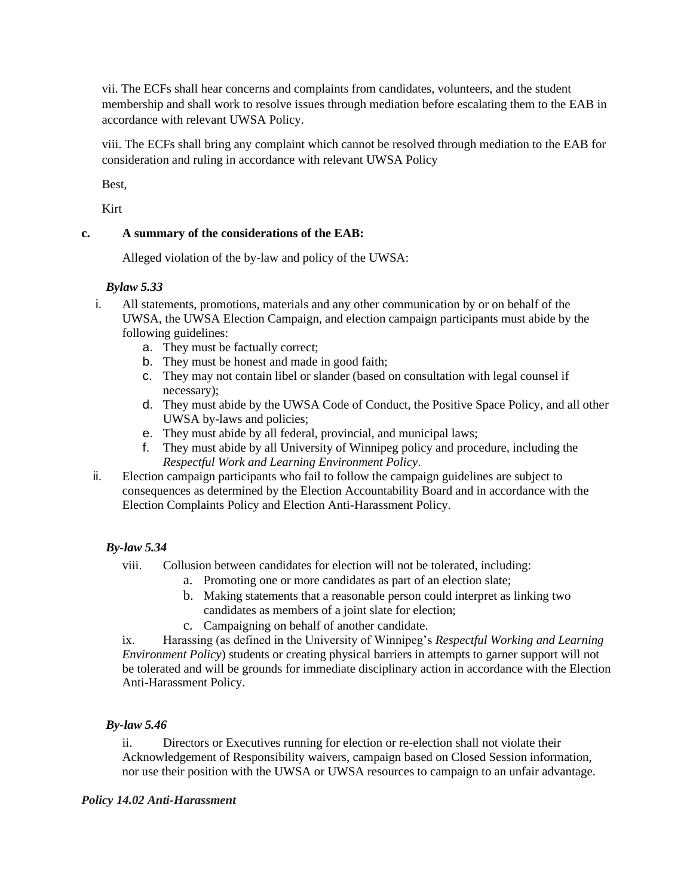vii. The ECFs shall hear concerns and complaints from candidates, volunteers, and the student membership and shall work to resolve issues through mediation before escalating them to the EAB in accordance with relevant UWSA Policy.

viii. The ECFs shall bring any complaint which cannot be resolved through mediation to the EAB for consideration and ruling in accordance with relevant UWSA Policy

Best,

Kirt

# **c. A summary of the considerations of the EAB:**

Alleged violation of the by-law and policy of the UWSA:

## *Bylaw 5.33*

- i. All statements, promotions, materials and any other communication by or on behalf of the UWSA, the UWSA Election Campaign, and election campaign participants must abide by the following guidelines:
	- a. They must be factually correct;
	- b. They must be honest and made in good faith;
	- c. They may not contain libel or slander (based on consultation with legal counsel if necessary);
	- d. They must abide by the UWSA Code of Conduct, the Positive Space Policy, and all other UWSA by-laws and policies;
	- e. They must abide by all federal, provincial, and municipal laws;
	- f. They must abide by all University of Winnipeg policy and procedure, including the *Respectful Work and Learning Environment Policy*.
- ii. Election campaign participants who fail to follow the campaign guidelines are subject to consequences as determined by the Election Accountability Board and in accordance with the Election Complaints Policy and Election Anti-Harassment Policy.

# *By-law 5.34*

- viii. Collusion between candidates for election will not be tolerated, including:
	- a. Promoting one or more candidates as part of an election slate;
	- b. Making statements that a reasonable person could interpret as linking two candidates as members of a joint slate for election;
	- c. Campaigning on behalf of another candidate.

ix. Harassing (as defined in the University of Winnipeg's *Respectful Working and Learning Environment Policy*) students or creating physical barriers in attempts to garner support will not be tolerated and will be grounds for immediate disciplinary action in accordance with the Election Anti-Harassment Policy.

# *By-law 5.46*

ii. Directors or Executives running for election or re-election shall not violate their Acknowledgement of Responsibility waivers, campaign based on Closed Session information, nor use their position with the UWSA or UWSA resources to campaign to an unfair advantage.

## *Policy 14.02 Anti-Harassment*